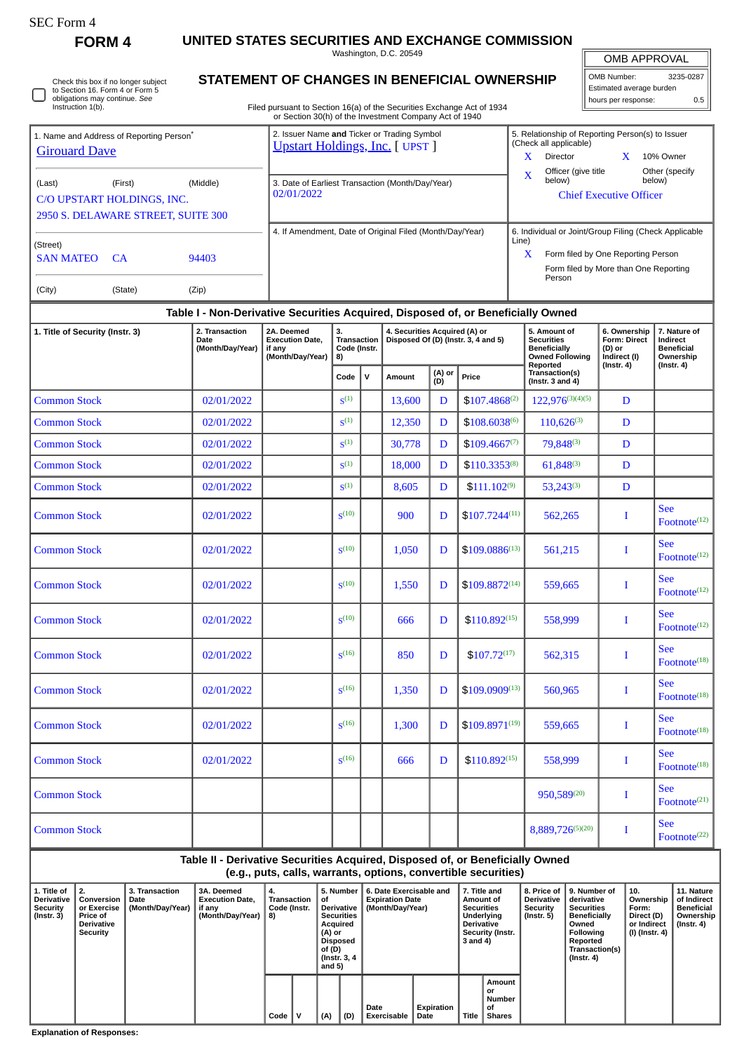| SEC Form |
|----------|
|----------|

**FORM 4 UNITED STATES SECURITIES AND EXCHANGE COMMISSION**

Washington, D.C. 20549

**STATEMENT OF CHANGES IN BENEFICIAL OWNERSHIP**

Filed pursuant to Section 16(a) of the Securities Exchange Act of 1934 or Section 30(h) of the Investment Company Act of 1940

| <b>OMB APPROVAL</b> |  |
|---------------------|--|
|                     |  |
|                     |  |

OMB Number: 3235-0287 Estimated average burden hours per response: 0.5

|                                    | 1. Name and Address of Reporting Person <sup>®</sup> |          | 2. Issuer Name and Ticker or Trading Symbol<br><b>Upstart Holdings, Inc.</b> [ UPST ] | 5. Relationship of Reporting Person(s) to Issuer<br>(Check all applicable) |                                       |  |                 |  |  |
|------------------------------------|------------------------------------------------------|----------|---------------------------------------------------------------------------------------|----------------------------------------------------------------------------|---------------------------------------|--|-----------------|--|--|
| <b>Girouard Dave</b>               |                                                      |          |                                                                                       | x                                                                          | <b>Director</b>                       |  | 10% Owner       |  |  |
|                                    |                                                      |          |                                                                                       | X                                                                          | Officer (give title                   |  | Other (specify) |  |  |
| (Last)                             | (First)                                              | (Middle) | 3. Date of Earliest Transaction (Month/Day/Year)                                      |                                                                            | below)                                |  | below)          |  |  |
|                                    | C/O UPSTART HOLDINGS, INC.                           |          | 02/01/2022                                                                            |                                                                            | <b>Chief Executive Officer</b>        |  |                 |  |  |
| 2950 S. DELAWARE STREET, SUITE 300 |                                                      |          |                                                                                       |                                                                            |                                       |  |                 |  |  |
|                                    |                                                      |          | 4. If Amendment, Date of Original Filed (Month/Day/Year)                              | 6. Individual or Joint/Group Filing (Check Applicable                      |                                       |  |                 |  |  |
| (Street)                           |                                                      |          |                                                                                       | Line)                                                                      |                                       |  |                 |  |  |
| <b>SAN MATEO</b>                   | <b>CA</b>                                            | 94403    |                                                                                       | $\mathbf x$                                                                | Form filed by One Reporting Person    |  |                 |  |  |
|                                    |                                                      |          |                                                                                       |                                                                            | Form filed by More than One Reporting |  |                 |  |  |
|                                    |                                                      |          |                                                                                       |                                                                            | Person                                |  |                 |  |  |
| (City)                             | (State)                                              | (Zip)    |                                                                                       |                                                                            |                                       |  |                 |  |  |

## **Table I - Non-Derivative Securities Acquired, Disposed of, or Beneficially Owned 1. Title of Security (Instr. 3) 2. Transaction** 2A. Deemed **3. 4. Securities Acquired (A) or 5. Amount of**

| 1. Title of Security (Instr. 3) | 2. Transaction<br>2A. Deemed<br><b>Execution Date,</b><br>Date<br>(Month/Day/Year)<br>if any<br>(Month/Day/Year)<br>8) |  | 3.<br><b>Transaction</b><br>Code (Instr. |   | 4. Securities Acquired (A) or |               | Disposed Of (D) (Instr. 3, 4 and 5) | 5. Amount of<br><b>Securities</b><br><b>Beneficially</b><br><b>Owned Following</b><br>Reported | 6. Ownership<br><b>Form: Direct</b><br>(D) or<br>Indirect (I)<br>$($ Instr. 4 $)$ | 7. Nature of<br>Indirect<br><b>Beneficial</b><br>Ownership<br>$($ Instr. 4 $)$ |  |
|---------------------------------|------------------------------------------------------------------------------------------------------------------------|--|------------------------------------------|---|-------------------------------|---------------|-------------------------------------|------------------------------------------------------------------------------------------------|-----------------------------------------------------------------------------------|--------------------------------------------------------------------------------|--|
|                                 |                                                                                                                        |  | Code                                     | v | Amount                        | (A) or<br>(D) | Price                               | Transaction(s)<br>(Instr. 3 and $4$ )                                                          |                                                                                   |                                                                                |  |
| <b>Common Stock</b>             | 02/01/2022                                                                                                             |  | S <sup>(1)</sup>                         |   | 13,600                        | D             | $$107.4868^{(2)}$                   | $122,976^{(3)(4)(5)}$                                                                          | D                                                                                 |                                                                                |  |
| <b>Common Stock</b>             | 02/01/2022                                                                                                             |  | S <sup>(1)</sup>                         |   | 12,350                        | D             | $$108.6038^{(6)}$                   | $110.626^{(3)}$                                                                                | D                                                                                 |                                                                                |  |
| <b>Common Stock</b>             | 02/01/2022                                                                                                             |  | S <sup>(1)</sup>                         |   | 30,778                        | D             | $$109.4667^{(7)}$                   | 79,848(3)                                                                                      | D                                                                                 |                                                                                |  |
| <b>Common Stock</b>             | 02/01/2022                                                                                                             |  | S <sup>(1)</sup>                         |   | 18,000                        | D             | $$110.3353^{(8)}$                   | $61,848^{(3)}$                                                                                 | D                                                                                 |                                                                                |  |
| <b>Common Stock</b>             | 02/01/2022                                                                                                             |  | S <sup>(1)</sup>                         |   | 8,605                         | D             | $$111.102^{(9)}$                    | $53,243^{(3)}$                                                                                 | D                                                                                 |                                                                                |  |
| <b>Common Stock</b>             | 02/01/2022                                                                                                             |  | $\mathbf{S}^{(10)}$                      |   | 900                           | D             | $$107.7244^{(11)}$                  | 562,265                                                                                        | I                                                                                 | <b>See</b><br>Footnote <sup>(12)</sup>                                         |  |
| <b>Common Stock</b>             | 02/01/2022                                                                                                             |  | S <sup>(10)</sup>                        |   | 1,050                         | D             | $$109.0886^{(13)}$                  | 561,215                                                                                        | I                                                                                 | <b>See</b><br>$\text{Foothote}^{(12)}$                                         |  |
| <b>Common Stock</b>             | 02/01/2022                                                                                                             |  | S <sup>(10)</sup>                        |   | 1,550                         | D             | $$109.8872^{(14)}$                  | 559,665                                                                                        | I                                                                                 | <b>See</b><br>Footnote <sup>(12)</sup>                                         |  |
| <b>Common Stock</b>             | 02/01/2022                                                                                                             |  | S <sup>(10)</sup>                        |   | 666                           | D             | $$110.892^{(15)}$                   | 558,999                                                                                        | I                                                                                 | <b>See</b><br>Footnote $(12)$                                                  |  |
| <b>Common Stock</b>             | 02/01/2022                                                                                                             |  | $S^{(16)}$                               |   | 850                           | D             | $$107.72^{(17)}$                    | 562,315                                                                                        | I                                                                                 | <b>See</b><br>Footnote <sup>(18)</sup>                                         |  |
| <b>Common Stock</b>             | 02/01/2022                                                                                                             |  | $S^{(16)}$                               |   | 1,350                         | D             | $$109.0909^{(13)}$                  | 560,965                                                                                        | I                                                                                 | <b>See</b><br>Footnote <sup>(18)</sup>                                         |  |
| <b>Common Stock</b>             | 02/01/2022                                                                                                             |  | $S^{(16)}$                               |   | 1,300                         | D             | $$109.8971^{(19)}$                  | 559,665                                                                                        | I                                                                                 | <b>See</b><br>Footnote $(18)$                                                  |  |
| <b>Common Stock</b>             | 02/01/2022                                                                                                             |  | S <sup>(16)</sup>                        |   | 666                           | D             | $$110.892^{(15)}$                   | 558,999                                                                                        | 1                                                                                 | <b>See</b><br>Footnote $(18)$                                                  |  |
| <b>Common Stock</b>             |                                                                                                                        |  |                                          |   |                               |               |                                     | 950,589(20)                                                                                    | I                                                                                 | <b>See</b><br>Footnote <sup>(21)</sup>                                         |  |
| <b>Common Stock</b>             |                                                                                                                        |  |                                          |   |                               |               |                                     | 8,889,726(5)(20)                                                                               | I                                                                                 | <b>See</b><br>Footnote <sup>(22)</sup>                                         |  |

## **Table II - Derivative Securities Acquired, Disposed of, or Beneficially Owned (e.g., puts, calls, warrants, options, convertible securities)**

| 1. Title of<br><b>Derivative</b><br>Security<br>(Instr. 3) | $\perp$ 2.<br>Conversion<br>or Exercise<br><b>Price of</b><br><b>Derivative</b><br>Security | <b>3. Transaction</b><br>Date<br>(Month/Day/Year) | <b>3A. Deemed</b><br><b>Execution Date.</b><br>if any<br>(Month/Day/Year) | 4.<br>Transaction<br>Code (Instr.<br>8) |   | οf<br>Acquired<br>(A) or<br>Disposed<br>of (D)<br>and $5)$ | 5. Number<br><b>Derivative</b><br><b>Securities</b><br>(Instr. 3, 4) | 6. Date Exercisable and<br><b>Expiration Date</b><br>(Month/Day/Year) | 7. Title and<br>Amount of<br><b>Securities</b><br>Underlying<br><b>Derivative</b><br>Security (Instr.<br>3 and 4) |       | <b>Derivative</b><br>Security<br>(Instr. 5)   | 8. Price of 19. Number of<br>derivative<br><b>Securities</b><br><b>Beneficially</b><br>Owned<br>Following<br>Reported<br>Transaction(s)<br>(Instr. 4) | 10.<br>Ownership<br>Form:<br>Direct (D)<br>or Indirect<br>(I) (Instr. 4) | 11. Nature<br>of Indirect<br>Beneficial<br>Ownership<br>(Instr. 4) |  |
|------------------------------------------------------------|---------------------------------------------------------------------------------------------|---------------------------------------------------|---------------------------------------------------------------------------|-----------------------------------------|---|------------------------------------------------------------|----------------------------------------------------------------------|-----------------------------------------------------------------------|-------------------------------------------------------------------------------------------------------------------|-------|-----------------------------------------------|-------------------------------------------------------------------------------------------------------------------------------------------------------|--------------------------------------------------------------------------|--------------------------------------------------------------------|--|
|                                                            |                                                                                             |                                                   |                                                                           | Code                                    | ν | (A)<br>(D)                                                 |                                                                      | Date<br><b>Exercisable</b>                                            | Expiration<br>Date                                                                                                | Title | Amount<br>or<br>Number<br>οf<br><b>Shares</b> |                                                                                                                                                       |                                                                          |                                                                    |  |